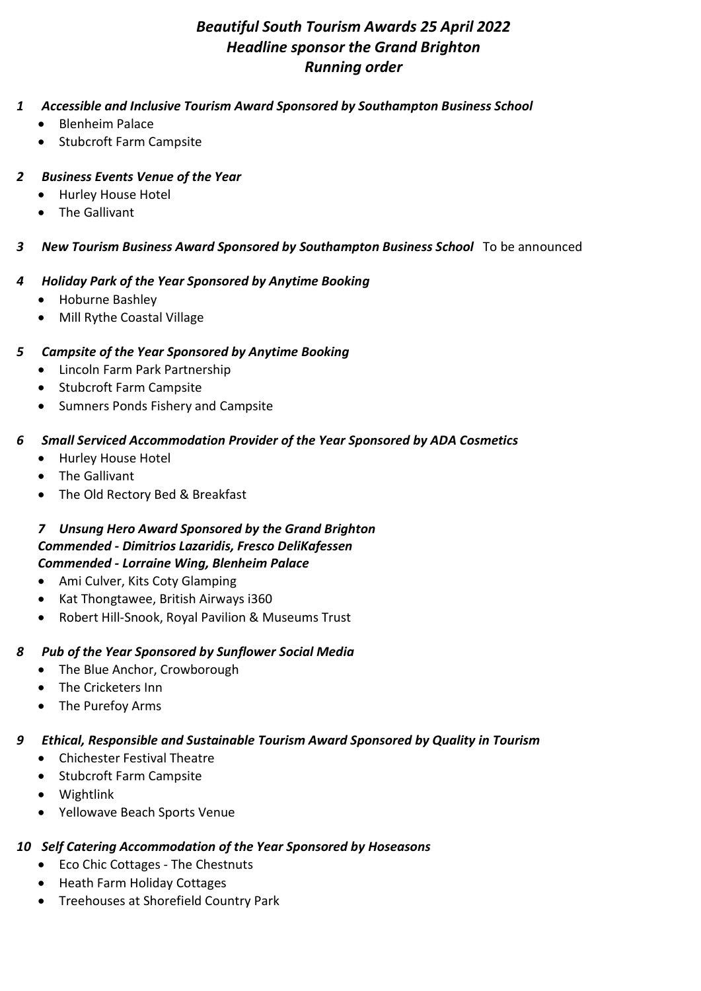# Beautiful South Tourism Awards 25 April 2022 Headline sponsor the Grand Brighton Running order

#### 1 Accessible and Inclusive Tourism Award Sponsored by Southampton Business School

- Blenheim Palace
- Stubcroft Farm Campsite

#### 2 Business Events Venue of the Year

- Hurley House Hotel
- The Gallivant

### 3 New Tourism Business Award Sponsored by Southampton Business School To be announced

### 4 Holiday Park of the Year Sponsored by Anytime Booking

- Hoburne Bashley
- Mill Rythe Coastal Village

### 5 Campsite of the Year Sponsored by Anytime Booking

- Lincoln Farm Park Partnership
- Stubcroft Farm Campsite
- Sumners Ponds Fishery and Campsite

# 6 Small Serviced Accommodation Provider of the Year Sponsored by ADA Cosmetics

- Hurley House Hotel
- The Gallivant
- The Old Rectory Bed & Breakfast

#### 7 Unsung Hero Award Sponsored by the Grand Brighton Commended - Dimitrios Lazaridis, Fresco DeliKafessen Commended - Lorraine Wing, Blenheim Palace

- Ami Culver, Kits Coty Glamping
- Kat Thongtawee, British Airways i360
- Robert Hill-Snook, Royal Pavilion & Museums Trust

# 8 Pub of the Year Sponsored by Sunflower Social Media

- The Blue Anchor, Crowborough
- The Cricketers Inn
- The Purefoy Arms

# 9 Ethical, Responsible and Sustainable Tourism Award Sponsored by Quality in Tourism

- Chichester Festival Theatre
- Stubcroft Farm Campsite
- Wightlink
- Yellowave Beach Sports Venue

#### 10 Self Catering Accommodation of the Year Sponsored by Hoseasons

- Eco Chic Cottages The Chestnuts
- Heath Farm Holiday Cottages
- Treehouses at Shorefield Country Park